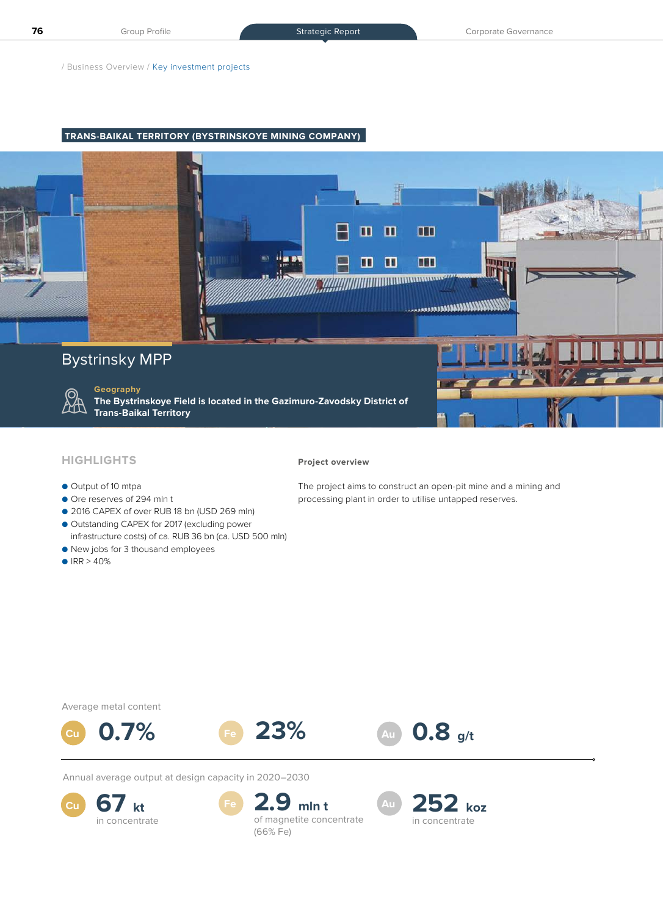/ Business Overview / Key investment projects

### **TRANS-BAIKAL TERRITORY (BYSTRINSKOYE MINING COMPANY)**



# **HIGHLIGHTS**

#### ● Output of 10 mtpa

- Ore reserves of 294 mln t
- 2016 CAPEX of over RUB 18 bn (USD 269 mln)
- Outstanding CAPEX for 2017 (excluding power
- infrastructure costs) of ca. RUB 36 bn (ca. USD 500 mln)
- New jobs for 3 thousand employees
- $\bullet$  IRR  $> 40\%$

#### **Project overview**

The project aims to construct an open-pit mine and a mining and processing plant in order to utilise untapped reserves.

Average metal content







Annual average output at design capacity in 2020–2030



**2.9 mln t** of magnetite concentrate (66% Fe)